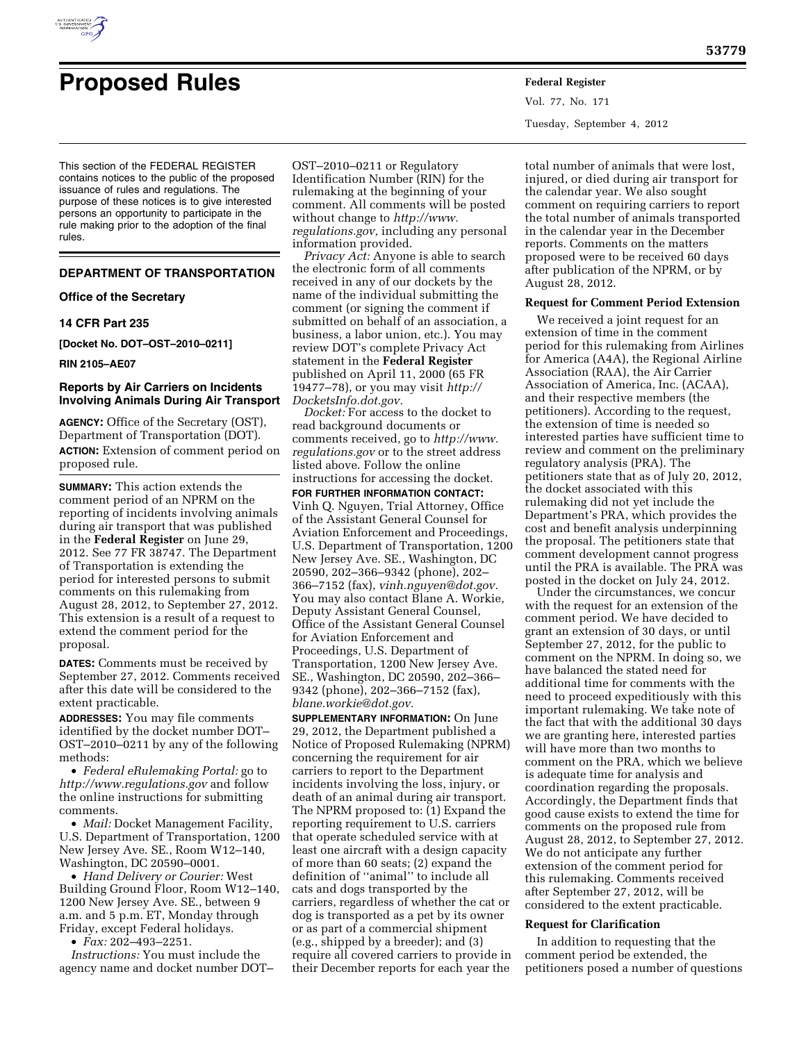

# **Proposed Rules Federal Register**

Vol. 77, No. 171 Tuesday, September 4, 2012

This section of the FEDERAL REGISTER contains notices to the public of the proposed issuance of rules and regulations. The purpose of these notices is to give interested persons an opportunity to participate in the rule making prior to the adoption of the final rules.

## **DEPARTMENT OF TRANSPORTATION**

#### **Office of the Secretary**

# **14 CFR Part 235**

**[Docket No. DOT–OST–2010–0211]** 

#### **RIN 2105–AE07**

#### **Reports by Air Carriers on Incidents Involving Animals During Air Transport**

**AGENCY:** Office of the Secretary (OST), Department of Transportation (DOT). **ACTION:** Extension of comment period on proposed rule.

**SUMMARY:** This action extends the comment period of an NPRM on the reporting of incidents involving animals during air transport that was published in the **Federal Register** on June 29, 2012. See 77 FR 38747. The Department of Transportation is extending the period for interested persons to submit comments on this rulemaking from August 28, 2012, to September 27, 2012. This extension is a result of a request to extend the comment period for the proposal.

**DATES:** Comments must be received by September 27, 2012. Comments received after this date will be considered to the extent practicable.

**ADDRESSES:** You may file comments identified by the docket number DOT– OST–2010–0211 by any of the following methods:

• *Federal eRulemaking Portal:* go to *<http://www.regulations.gov>* and follow the online instructions for submitting comments.

• *Mail:* Docket Management Facility, U.S. Department of Transportation, 1200 New Jersey Ave. SE., Room W12–140, Washington, DC 20590–0001.

• *Hand Delivery or Courier:* West Building Ground Floor, Room W12–140, 1200 New Jersey Ave. SE., between 9 a.m. and 5 p.m. ET, Monday through Friday, except Federal holidays.

• *Fax:* 202–493–2251.

*Instructions:* You must include the agency name and docket number DOT–

OST–2010–0211 or Regulatory Identification Number (RIN) for the rulemaking at the beginning of your comment. All comments will be posted without change to *[http://www.](http://www.regulations.gov) [regulations.gov,](http://www.regulations.gov)* including any personal information provided.

*Privacy Act:* Anyone is able to search the electronic form of all comments received in any of our dockets by the name of the individual submitting the comment (or signing the comment if submitted on behalf of an association, a business, a labor union, etc.). You may review DOT's complete Privacy Act statement in the **Federal Register**  published on April 11, 2000 (65 FR 19477–78), or you may visit *[http://](http://DocketsInfo.dot.gov) [DocketsInfo.dot.gov.](http://DocketsInfo.dot.gov)* 

*Docket:* For access to the docket to read background documents or comments received, go to *[http://www.](http://www.regulations.gov) [regulations.gov](http://www.regulations.gov)* or to the street address listed above. Follow the online instructions for accessing the docket.

**FOR FURTHER INFORMATION CONTACT:**  Vinh Q. Nguyen, Trial Attorney, Office of the Assistant General Counsel for Aviation Enforcement and Proceedings, U.S. Department of Transportation, 1200 New Jersey Ave. SE., Washington, DC 20590, 202–366–9342 (phone), 202– 366–7152 (fax), *[vinh.nguyen@dot.gov.](mailto:vinh.nguyen@dot.gov)*  You may also contact Blane A. Workie, Deputy Assistant General Counsel, Office of the Assistant General Counsel for Aviation Enforcement and Proceedings, U.S. Department of Transportation, 1200 New Jersey Ave. SE., Washington, DC 20590, 202–366– 9342 (phone), 202–366–7152 (fax), *[blane.workie@dot.gov.](mailto:blane.workie@dot.gov)* 

**SUPPLEMENTARY INFORMATION:** On June 29, 2012, the Department published a Notice of Proposed Rulemaking (NPRM) concerning the requirement for air carriers to report to the Department incidents involving the loss, injury, or death of an animal during air transport. The NPRM proposed to: (1) Expand the reporting requirement to U.S. carriers that operate scheduled service with at least one aircraft with a design capacity of more than 60 seats; (2) expand the definition of ''animal'' to include all cats and dogs transported by the carriers, regardless of whether the cat or dog is transported as a pet by its owner or as part of a commercial shipment (e.g., shipped by a breeder); and (3) require all covered carriers to provide in their December reports for each year the

total number of animals that were lost, injured, or died during air transport for the calendar year. We also sought comment on requiring carriers to report the total number of animals transported in the calendar year in the December reports. Comments on the matters proposed were to be received 60 days after publication of the NPRM, or by August 28, 2012.

#### **Request for Comment Period Extension**

We received a joint request for an extension of time in the comment period for this rulemaking from Airlines for America (A4A), the Regional Airline Association (RAA), the Air Carrier Association of America, Inc. (ACAA), and their respective members (the petitioners). According to the request, the extension of time is needed so interested parties have sufficient time to review and comment on the preliminary regulatory analysis (PRA). The petitioners state that as of July 20, 2012, the docket associated with this rulemaking did not yet include the Department's PRA, which provides the cost and benefit analysis underpinning the proposal. The petitioners state that comment development cannot progress until the PRA is available. The PRA was posted in the docket on July 24, 2012.

Under the circumstances, we concur with the request for an extension of the comment period. We have decided to grant an extension of 30 days, or until September 27, 2012, for the public to comment on the NPRM. In doing so, we have balanced the stated need for additional time for comments with the need to proceed expeditiously with this important rulemaking. We take note of the fact that with the additional 30 days we are granting here, interested parties will have more than two months to comment on the PRA, which we believe is adequate time for analysis and coordination regarding the proposals. Accordingly, the Department finds that good cause exists to extend the time for comments on the proposed rule from August 28, 2012, to September 27, 2012. We do not anticipate any further extension of the comment period for this rulemaking. Comments received after September 27, 2012, will be considered to the extent practicable.

#### **Request for Clarification**

In addition to requesting that the comment period be extended, the petitioners posed a number of questions